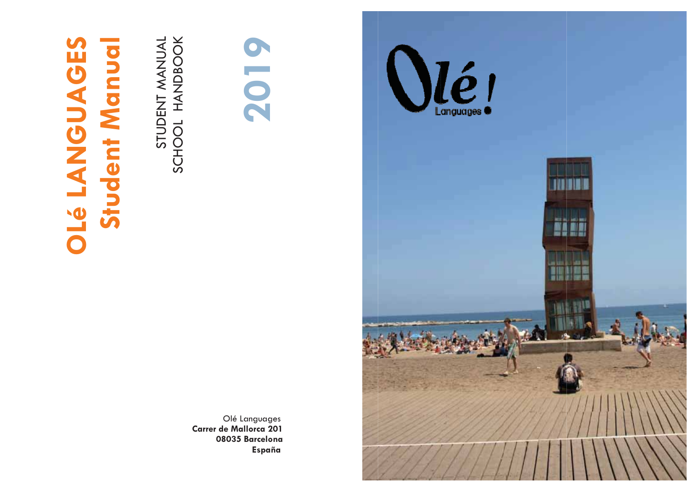# **OLÉ LANGUAGES** ent Manua Stud

STUDENT MANUAL SCHOOL HANDBOOK



Olé Languages Carrer de Mallorca 201 08035 Barcelona España

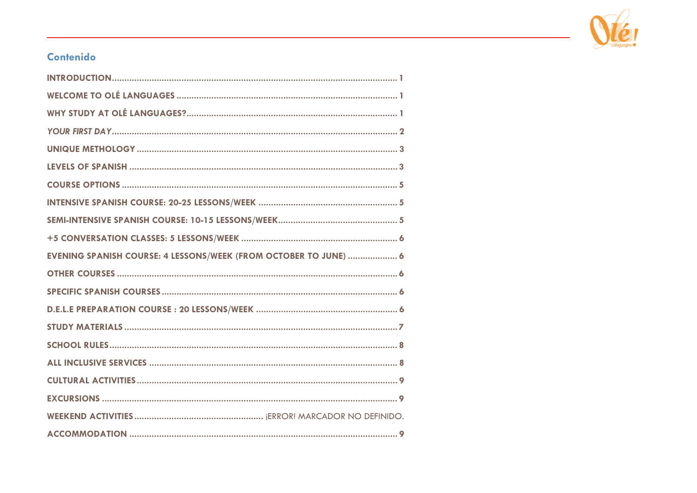

### Contenido

| EVENING SPANISH COURSE: 4 LESSONS/WEEK (FROM OCTOBER TO JUNE)  6 |
|------------------------------------------------------------------|
|                                                                  |
|                                                                  |
|                                                                  |
|                                                                  |
|                                                                  |
|                                                                  |
|                                                                  |
|                                                                  |
|                                                                  |
|                                                                  |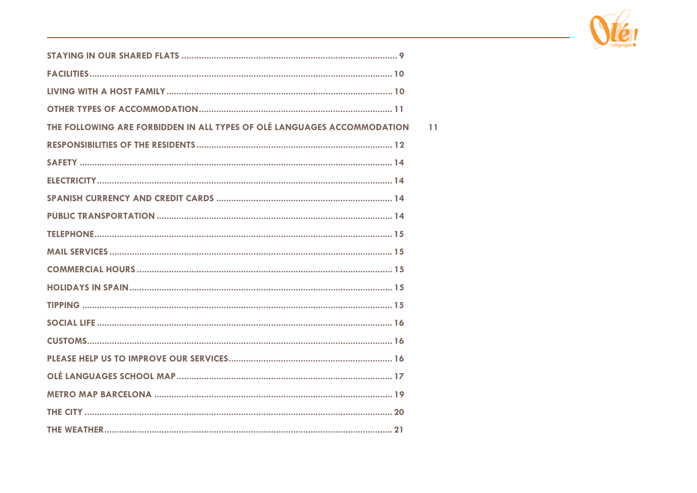

 $\bar{1}1$ 

| THE FOLLOWING ARE FORBIDDEN IN ALL TYPES OF OLÉ LANGUAGES ACCOMMODATION |
|-------------------------------------------------------------------------|
|                                                                         |
|                                                                         |
|                                                                         |
|                                                                         |
|                                                                         |
|                                                                         |
|                                                                         |
|                                                                         |
|                                                                         |
|                                                                         |
|                                                                         |
|                                                                         |
|                                                                         |
|                                                                         |
|                                                                         |
|                                                                         |
|                                                                         |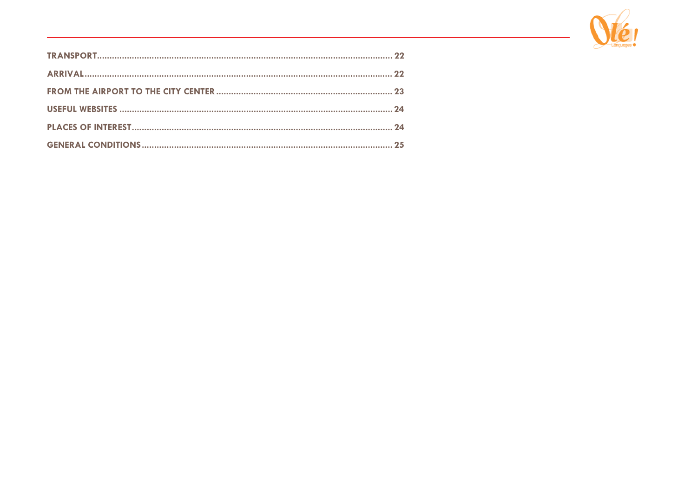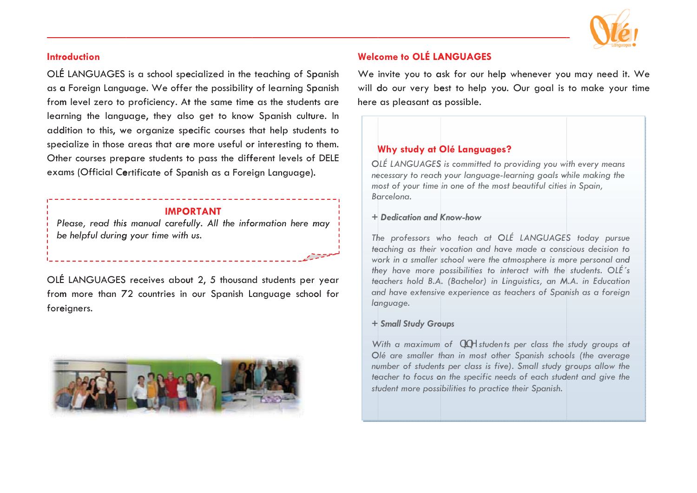

#### **Introduction**

OLÉ LANGUAGES is a school specialized in the teaching of Spanish as a Foreign Language. We offer the possibility of learning Spanish from level zero to proficiency. At the same time as the students are learning the language, they also get to know Spanish culture. In addition to this, we organize specific courses that help students to specialize in those areas that are more useful or interesting to them. Other courses prepare students to pass the different levels of DELE exams (Official Certificate of Spanish as a Foreign Language).

#### **IMPORTANT**

Please, read this manual carefully. All the information here may be helpful during your time with us.

OLÉ LANGUAGES receives about 2, 5 thousand students per year from more than 72 countries in our Spanish Language school for foreigners.



#### **Welcome to OLÉ LANGUAGES**

We invite you to ask for our help whenever you may need it. We will do our very best to help you. Our goal is to make your time here as pleasant as possible.

#### Why study at Olé Languages?

OLÉ LANGUAGES is committed to providing you with every means necessary to reach your language-learning goals while making the most of your time in one of the most beautiful cities in Spain, Barcelona.

#### + Dedication and Know-how

The professors who teach at OLÉ LANGUAGES today pursue teaching as their vocation and have made a conscious decision to work in a smaller school were the atmosphere is more personal and they have more possibilities to interact with the students. OLÉ's teachers hold B.A. (Bachelor) in Linguistics, an M.A. in Education and have extensive experience as teachers of Spanish as a foreign language.

#### + Small Study Groups

With a maximum of b|bY students per class the study groups at Olé are smaller than in most other Spanish schools (the average number of students per class is five). Small study groups allow the teacher to focus on the specific needs of each student and give the student more possibilities to practice their Spanish.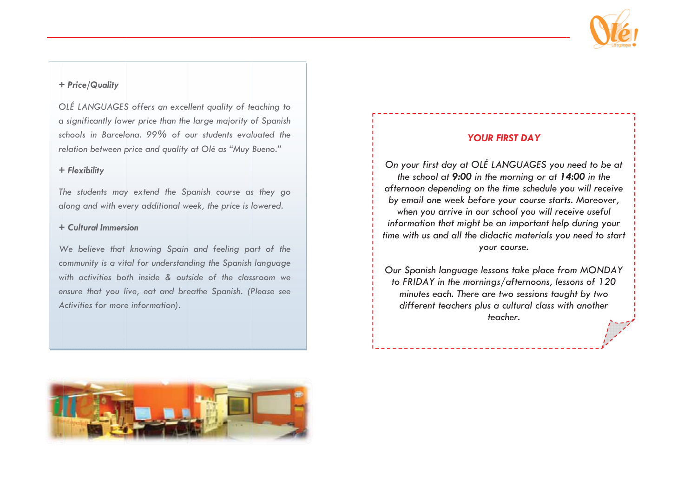

#### + Price/Quality

OLÉ LANGUAGES offers an excellent quality of teaching to a significantly lower price than the large majority of Spanish schools in Barcelona, 99% of our students evaluated the relation between price and quality at Olé as "Muy Bueno."

#### + Flexibility

The students may extend the Spanish course as they go along and with every additional week, the price is lowered.

#### + Cultural Immersion

We believe that knowing Spain and feeling part of the community is a vital for understanding the Spanish language with activities both inside & outside of the classroom we ensure that you live, eat and breathe Spanish. (Please see Activities for more information).

#### **YOUR FIRST DAY**

On your first day at OLÉ LANGUAGES you need to be at the school at 9:00 in the morning or at 14:00 in the afternoon depending on the time schedule you will receive by email one week before your course starts. Moreover, when you arrive in our school you will receive useful information that might be an important help during your time with us and all the didactic materials you need to start your course.

Our Spanish language lessons take place from MONDAY to FRIDAY in the mornings/afternoons, lessons of 120 minutes each. There are two sessions taught by two different teachers plus a cultural class with another teacher.

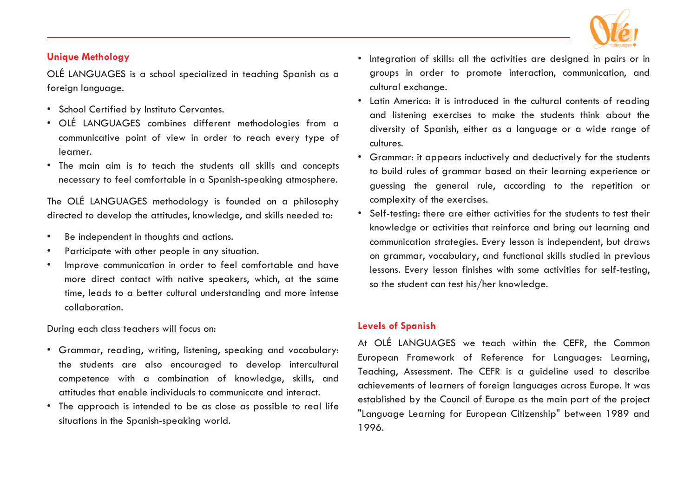

#### **Unique Methology**

OLÉ LANGUAGES is a school specialized in teaching Spanish as a foreign language.

- School Certified by Instituto Cervantes.
- OLÉ LANGUAGES combines different methodologies from a communicative point of view in order to reach every type of learner.
- The main aim is to teach the students all skills and concepts necessary to feel comfortable in a Spanish-speaking atmosphere.

The OLÉ LANGUAGES methodology is founded on a philosophy directed to develop the attitudes, knowledge, and skills needed to:

- •Be independent in thoughts and actions.
- •Participate with other people in any situation.
- • Improve communication in order to feel comfortable and have more direct contact with native speakers, which, at the same time, leads to a better cultural understanding and more intense collaboration.

During each class teachers will focus on:

- Grammar, reading, writing, listening, speaking and vocabulary: the students are also encouraged to develop intercultural competence with a combination of knowledge, skills, and attitudes that enable individuals to communicate and interact.
- The approach is intended to be as close as possible to real life situations in the Spanish-speaking world.
- Integration of skills: all the activities are designed in pairs or in groups in order to promote interaction, communication, and cultural exchange.
- Latin America: it is introduced in the cultural contents of reading and listening exercises to make the students think about the diversity of Spanish, either as a language or a wide range of cultures.
- Grammar: it appears inductively and deductively for the students to build rules of grammar based on their learning experience or guessing the general rule, according to the repetition or complexity of the exercises.
- Self-testing: there are either activities for the students to test their knowledge or activities that reinforce and bring out learning and communication strategies. Every lesson is independent, but draws on grammar, vocabulary, and functional skills studied in previous lessons. Every lesson finishes with some activities for self-testing, so the student can test his/her knowledge.

#### **Levels of Spanish**

At OLÉ LANGUAGES we teach within the CEFR, the Common European Framework of Reference for Languages: Learning, Teaching, Assessment. The CEFR is a guideline used to describe achievements of learners of foreign languages across Europe. It was established by the Council of Europe as the main part of the project "Language Learning for European Citizenship" between 1989 and 1996.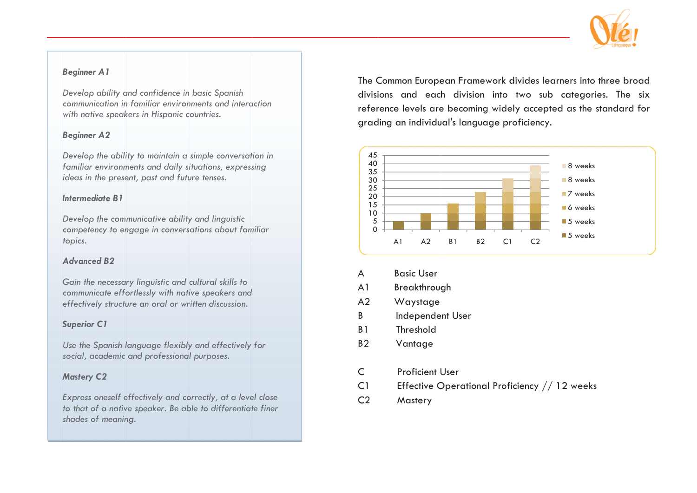

#### *B Beginner A1*

*D Develop ability a and confidence in n basic Spanish communication in n familiar environ nments and intera action with native speak kers in Hispanic c countries.*

#### *B Beginner A2*

*D Develop the abili ity to maintain a simple conversat tion in familiar environm ments and daily s ituations, express sing ideas in the present, past and future tenses.* 

#### *I Intermediate B1*

*D Develop the com municative ability y and linguistic competency to en ngage in convers sations about fam miliar topics.*

#### *A Advanced B2*

*G Gain the necessa ry linguistic and cultural skills to e effectively structu ure an oral or wr ritten discussion. communicate effo ortlessly with nati ive speakers and* communicate effortlessly with native speakers and<br>effectively structure an oral or written discussion.<br>**Superior C1**<br>Use the Spanish language flexibly and effectively for

#### *S Superior C1*

*s social, academic and professiona l purposes.* 

#### *M Mastery C2*

*E Express oneself e effectively and co orrectly, at a leve el close s shades of meanin ng. to that of a nativ ve speaker. Be ab ble to differentiat te finer*  The Common European Framework divides learners into three broad divisions and each division into two sub categories. The six reference levels are becoming widely accepted as the standard for grading an individual's language proficiency.



- A Basic User
- A1 Breakthroug gh
- $A<sub>2</sub>$ **Waystage**
- B Independent User
- B1 Threshold
- $B<sub>2</sub>$ **Vantage**
- C Proficient U User
- $C<sub>1</sub>$ Effective Operational Proficiency  $//$  12 weeks
- $C<sub>2</sub>$ **Mastery**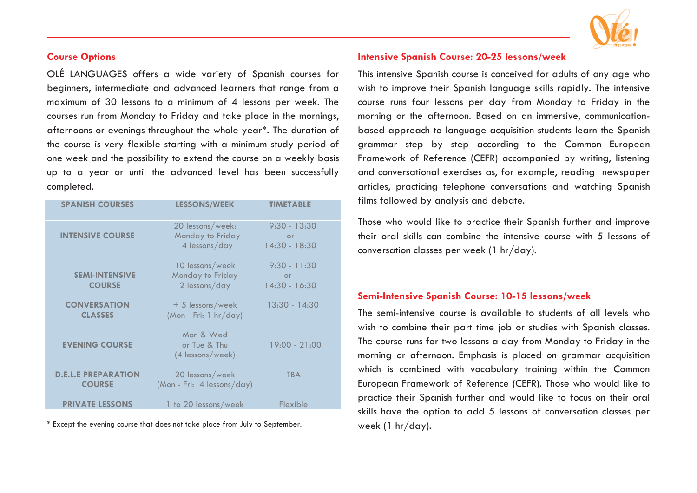#### **Course Options**

OLÉ LANGUAGES offers a wide variety of Spanish courses for beginners, intermediate and advanced learners that range from a maximum of 30 lessons to a minimum of 4 lessons per week. The courses run from Monday to Friday and take place in the mornings, afternoons or evenings throughout the whole year\*. The duration of the course is very flexible starting with a minimum study period of one week and the possibility to extend the course on a weekly basis up to a year or until the advanced level has been successfully completed.

| <b>SPANISH COURSES</b>                      | <b>LESSONS/WEEK</b>                                   | <b>TIMETABLE</b>                        |
|---------------------------------------------|-------------------------------------------------------|-----------------------------------------|
| <b>INTENSIVE COURSE</b>                     | 20 lessons/week:<br>Monday to Friday<br>4 lessons/day | $9:30 - 13:30$<br>or<br>$14:30 - 18:30$ |
| <b>SEMI-INTENSIVE</b><br><b>COURSE</b>      | 10 lessons/week<br>Monday to Friday<br>2 lessons/day  | $9:30 - 11:30$<br>or<br>$14:30 - 16:30$ |
| <b>CONVERSATION</b><br><b>CLASSES</b>       | $+5$ lessons/week<br>(Mon - Fri: 1 $hr/day$ )         | $13:30 - 14:30$                         |
| <b>EVENING COURSE</b>                       | Mon & Wed<br>or Tue & Thu<br>(4 lessons/week)         | $19:00 - 21:00$                         |
| <b>D.E.L.E PREPARATION</b><br><b>COURSE</b> | 20 lessons/week<br>(Mon - Fri: 4 lessons/day)         | <b>TBA</b>                              |
| <b>PRIVATE LESSONS</b>                      | 1 to 20 lessons/week                                  | Flexible                                |

\* Except the evening course that does not take place from July to September.



#### **Intensive Spanish Course: 20-25 lessons/week**

This intensive Spanish course is conceived for adults of any age who wish to improve their Spanish language skills rapidly. The intensive course runs four lessons per day from Monday to Friday in the morning or the afternoon. Based on an immersive, communicationbased approach to language acquisition students learn the Spanish grammar step by step according to the Common European Framework of Reference (CEFR) accompanied by writing, listening and conversational exercises as, for example, reading newspaper articles, practicing telephone conversations and watching Spanish films followed by analysis and debate.

Those who would like to practice their Spanish further and improve their oral skills can combine the intensive course with 5 lessons of conversation classes per week (1 hr/day).

#### **Semi-Intensive Spanish Course: 10-15 lessons/week**

The semi-intensive course is available to students of all levels who wish to combine their part time job or studies with Spanish classes. The course runs for two lessons a day from Monday to Friday in the morning or afternoon. Emphasis is placed on grammar acquisition which is combined with vocabulary training within the Common European Framework of Reference (CEFR). Those who would like to practice their Spanish further and would like to focus on their oral skills have the option to add 5 lessons of conversation classes per week (1 hr/day).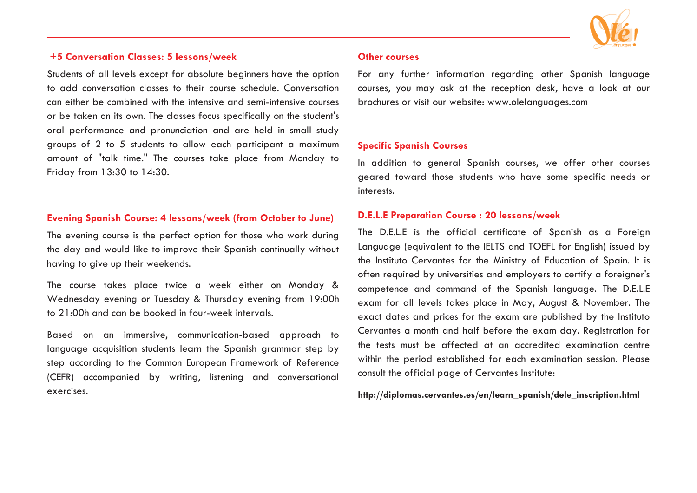

#### **+5 Conversation Classes: 5 lessons/week**

Students of all levels except for absolute beginners have the option to add conversation classes to their course schedule. Conversation can either be combined with the intensive and semi-intensive courses or be taken on its own. The classes focus specifically on the student's oral performance and pronunciation and are held in small study groups of 2 to 5 students to allow each participant a maximum amount of "talk time." The courses take place from Monday to Friday from 13:30 to 14:30.

#### **Evening Spanish Course: 4 lessons/week (from October to June)**

The evening course is the perfect option for those who work during the day and would like to improve their Spanish continually without having to give up their weekends.

The course takes place twice a week either on Monday & Wednesday evening or Tuesday & Thursday evening from 19:00h to 21:00h and can be booked in four-week intervals.

Based on an immersive, communication-based approach to language acquisition students learn the Spanish grammar step by step according to the Common European Framework of Reference (CEFR) accompanied by writing, listening and conversational exercises.

#### **Other courses**

For any further information regarding other Spanish language courses, you may ask at the reception desk, have a look at our brochures or visit our website: www.olelanguages.com

#### **Specific Spanish Courses**

In addition to general Spanish courses, we offer other courses geared toward those students who have some specific needs or interests.

#### **D.E.L.E Preparation Course : 20 lessons/week**

The D.E.L.E is the official certificate of Spanish as a Foreign Language (equivalent to the IELTS and TOEFL for English) issued by the Instituto Cervantes for the Ministry of Education of Spain. It is often required by universities and employers to certify a foreigner's competence and command of the Spanish language. The D.E.L.E exam for all levels takes place in May, August & November. The exact dates and prices for the exam are published by the Instituto Cervantes a month and half before the exam day. Registration for the tests must be affected at an accredited examination centre within the period established for each examination session. Please consult the official page of Cervantes Institute:

**http://diplomas.cervantes.es/en/learn\_spanish/dele\_inscription.html**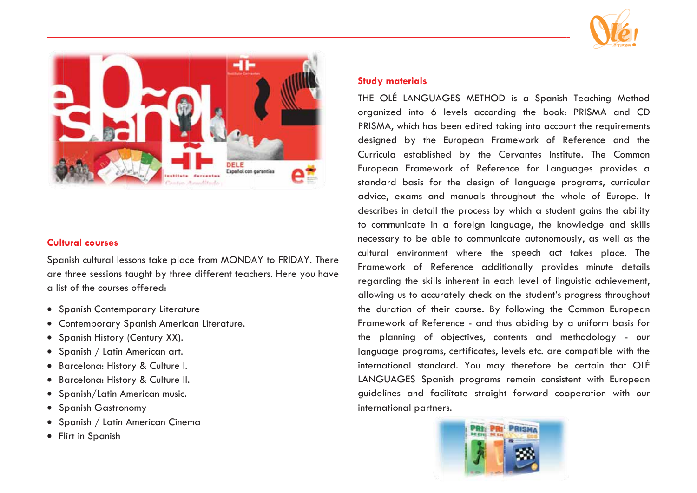



#### **Cultural courses**

Spanish cultural lessons take place from MONDAY to FRIDAY. There are three sessions taught by three different teachers. Here you have a list of the courses offered:

- Spanish Contemporary Literature
- Contemporary Spanish American Literature.
- Spanish History (Century XX).
- Spanish / Latin American art.
- · Barcelona: History & Culture I.
- · Barcelona: History & Culture II.
- Spanish/Latin American music.
- Spanish Gastronomy
- Spanish / Latin American Cinema
- Flirt in Spanish

#### **Study materials**

THE OLÉ LANGUAGES METHOD is a Spanish Teaching Method organized into 6 levels according the book: PRISMA and CD PRISMA, which has been edited taking into account the requirements designed by the European Framework of Reference and the Curricula established by the Cervantes Institute. The Common European Framework of Reference for Languages provides a standard basis for the design of language programs, curricular advice, exams and manuals throughout the whole of Europe. It describes in detail the process by which a student gains the ability to communicate in a foreign language, the knowledge and skills necessary to be able to communicate autonomously, as well as the cultural environment where the speech act takes place. The Framework of Reference additionally provides minute details regarding the skills inherent in each level of linguistic achievement, allowing us to accurately check on the student's progress throughout the duration of their course. By following the Common European Framework of Reference - and thus abiding by a uniform basis for the planning of objectives, contents and methodology - our language programs, certificates, levels etc. are compatible with the international standard. You may therefore be certain that OLÉ LANGUAGES Spanish programs remain consistent with European guidelines and facilitate straight forward cooperation with our international partners.

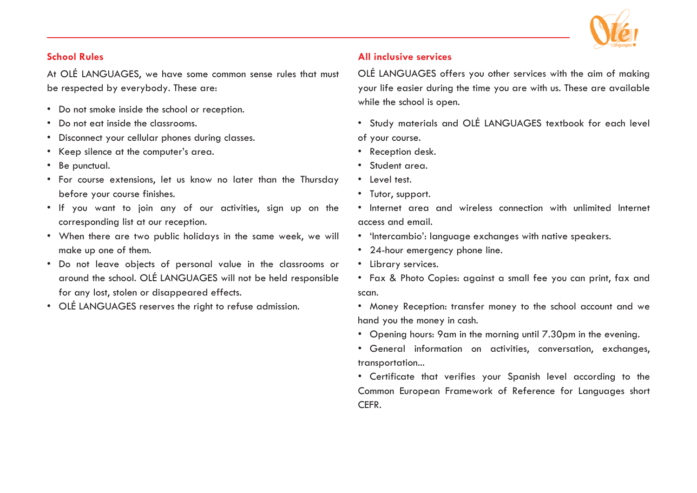

#### **School Rules**

At OLÉ LANGUAGES, we have some common sense rules that must be respected by everybody. These are:

- Do not smoke inside the school or reception.
- Do not eat inside the classrooms.
- Disconnect your cellular phones during classes.
- Keep silence at the computer's area.
- Be punctual.
- For course extensions, let us know no later than the Thursday before your course finishes.
- If you want to join any of our activities, sign up on the corresponding list at our reception.
- When there are two public holidays in the same week, we will make up one of them.
- Do not leave objects of personal value in the classrooms or around the school. OLÉ LANGUAGES will not be held responsible for any lost, stolen or disappeared effects.
- OLÉ LANGUAGES reserves the right to refuse admission.

#### **All inclusive services**

OLÉ LANGUAGES offers you other services with the aim of making your life easier during the time you are with us. These are available while the school is open.

- Study materials and OLÉ LANGUAGES textbook for each level of your course.
- Reception desk.
- Student area.
- Level test.
- Tutor, support.
- Internet area and wireless connection with unlimited Internet access and email.
- 'Intercambio': language exchanges with native speakers.
- 24-hour emergency phone line.
- Library services.
- Fax & Photo Copies: against a small fee you can print, fax and scan.
- Money Reception: transfer money to the school account and we hand you the money in cash.
- Opening hours: 9am in the morning until 7.30pm in the evening.
- General information on activities, conversation, exchanges, transportation...
- Certificate that verifies your Spanish level according to the Common European Framework of Reference for Languages short CEFR.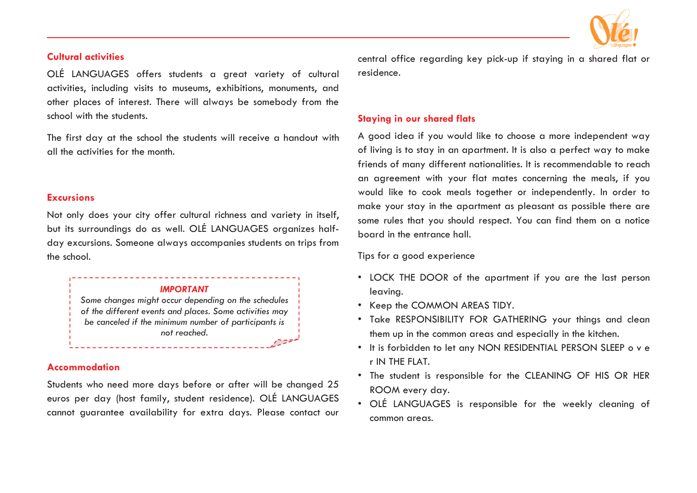

#### **Cultural activities**

OLÉ LANGUAGES offers students a great variety of cultural activities, including visits to museums, exhibitions, monuments, and other places of interest. There will always be somebody from the school with the students.

The first day at the school the students will receive a handout with all the activities for the month.

#### **Excursions**

Not only does your city offer cultural richness and variety in itself, but its surroundings do as well. OLÉ LANGUAGES organizes halfday excursions. Someone always accompanies students on trips from the school.



*of the different events and places. Some activities may be canceled if the minimum number of participants is not reached.* バニョ

#### **Accommodation**

Students who need more days before or after will be changed 25 euros per day (host family, student residence). OLÉ LANGUAGES cannot guarantee availability for extra days. Please contact our

central office regarding key pick-up if staying in a shared flat or residence.

#### **Staying in our shared flats**

A good idea if you would like to choose a more independent way of living is to stay in an apartment. It is also a perfect way to make friends of many different nationalities. It is recommendable to reach an agreement with your flat mates concerning the meals, if you would like to cook meals together or independently. In order to make your stay in the apartment as pleasant as possible there are some rules that you should respect. You can find them on a notice board in the entrance hall.

Tips for a good experience

- LOCK THE DOOR of the apartment if you are the last person leaving.
- Keep the COMMON AREAS TIDY.
- Take RESPONSIBILITY FOR GATHERING your things and clean them up in the common areas and especially in the kitchen.
- It is forbidden to let any NON RESIDENTIAL PERSON SLEEP o v e r IN THE FLAT.
- The student is responsible for the CLEANING OF HIS OR HER ROOM every day.
- OLÉ LANGUAGES is responsible for the weekly cleaning of common areas.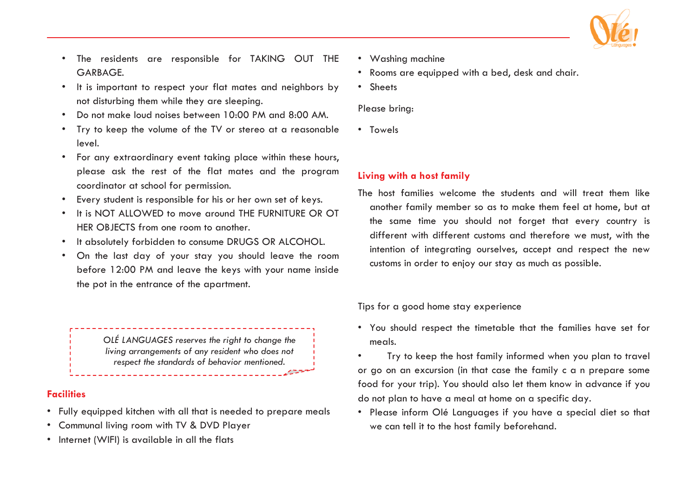

- • The residents are responsible for TAKING OUT THE GARBAGE.
- • It is important to respect your flat mates and neighbors by not disturbing them while they are sleeping.
- •Do not make loud noises between 10:00 PM and 8:00 AM.
- • Try to keep the volume of the TV or stereo at a reasonable level.
- For any extraordinary event taking place within these hours, please ask the rest of the flat mates and the program coordinator at school for permission.
- •Every student is responsible for his or her own set of keys.
- • It is NOT ALLOWED to move around THE FURNITURE OR OT HER OBJECTS from one room to another.
- •It absolutely forbidden to consume DRUGS OR ALCOHOL.
- • On the last day of your stay you should leave the room before 12:00 PM and leave the keys with your name inside the pot in the entrance of the apartment.

*OLÉ LANGUAGES reserves the right to change the living arrangements of any resident who does not respect the standards of behavior mentioned.* 

#### **Facilities**

- Fully equipped kitchen with all that is needed to prepare meals
- Communal living room with TV & DVD Player
- Internet (WIFI) is available in all the flats
- Washing machine
- Rooms are equipped with a bed, desk and chair.
- Sheets

Please bring:

• Towels

#### **Living with a host family**

The host families welcome the students and will treat them like another family member so as to make them feel at home, but at the same time you should not forget that every country is different with different customs and therefore we must, with the intention of integrating ourselves, accept and respect the new customs in order to enjoy our stay as much as possible.

Tips for a good home stay experience

- You should respect the timetable that the families have set for meals.
- • Try to keep the host family informed when you plan to travel or go on an excursion (in that case the family c a n prepare some food for your trip). You should also let them know in advance if you do not plan to have a meal at home on a specific day.
- Please inform Olé Languages if you have a special diet so that we can tell it to the host family beforehand.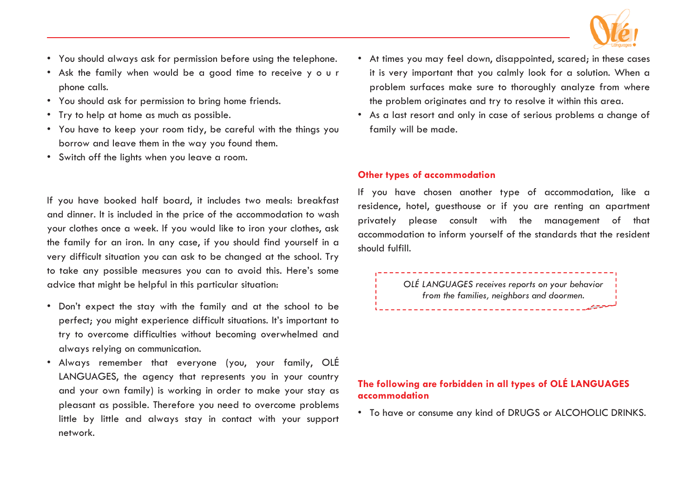

- You should always ask for permission before using the telephone.
- Ask the family when would be a good time to receive y o u r phone calls.
- You should ask for permission to bring home friends.
- Try to help at home as much as possible.
- You have to keep your room tidy, be careful with the things you borrow and leave them in the way you found them.
- Switch off the lights when you leave a room.

If you have booked half board, it includes two meals: breakfast and dinner. It is included in the price of the accommodation to wash your clothes once a week. If you would like to iron your clothes, ask the family for an iron. In any case, if you should find yourself in a very difficult situation you can ask to be changed at the school. Try to take any possible measures you can to avoid this. Here's some advice that might be helpful in this particular situation:

- Don't expect the stay with the family and at the school to be perfect; you might experience difficult situations. It's important to try to overcome difficulties without becoming overwhelmed and always relying on communication.
- Always remember that everyone (you, your family, OLÉ LANGUAGES, the agency that represents you in your country and your own family) is working in order to make your stay as pleasant as possible. Therefore you need to overcome problems little by little and always stay in contact with your support network.
- At times you may feel down, disappointed, scared; in these cases it is very important that you calmly look for a solution. When a problem surfaces make sure to thoroughly analyze from where the problem originates and try to resolve it within this area.
- As a last resort and only in case of serious problems a change of family will be made.

#### **Other types of accommodation**

If you have chosen another type of accommodation, like a residence, hotel, guesthouse or if you are renting an apartment privately please consult with the management of that accommodation to inform yourself of the standards that the resident should fulfill.

> *OLÉ LANGUAGES receives reports on your behavior from the families, neighbors and doormen.*

#### **The following are forbidden in all types of OLÉ LANGUAGES accommodation**

• To have or consume any kind of DRUGS or ALCOHOLIC DRINKS.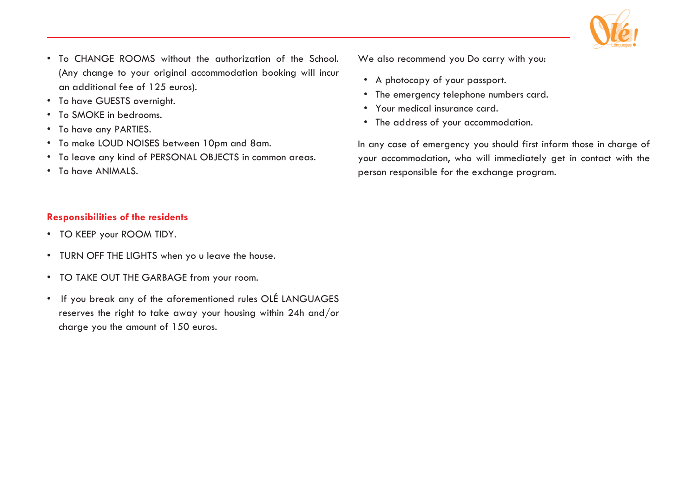

- To CHANGE ROOMS without the authorization of the School. (Any change to your original accommodation booking will incur an additional fee of 125 euros).
- To have GUESTS overnight.
- To SMOKE in bedrooms.
- To have any PARTIES.
- To make LOUD NOISES between 10pm and 8am.
- To leave any kind of PERSONAL OBJECTS in common areas.
- To have ANIMALS.

#### **Responsibilities of the residents**

- TO KEEP your ROOM TIDY.
- TURN OFF THE LIGHTS when yo u leave the house.
- TO TAKE OUT THE GARBAGE from your room.
- If you break any of the aforementioned rules OLÉ LANGUAGES reserves the right to take away your housing within 24h and/or charge you the amount of 150 euros.

We also recommend you Do carry with you:

- A photocopy of your passport.
- The emergency telephone numbers card.
- Your medical insurance card.
- The address of your accommodation.

In any case of emergency you should first inform those in charge of your accommodation, who will immediately get in contact with the person responsible for the exchange program.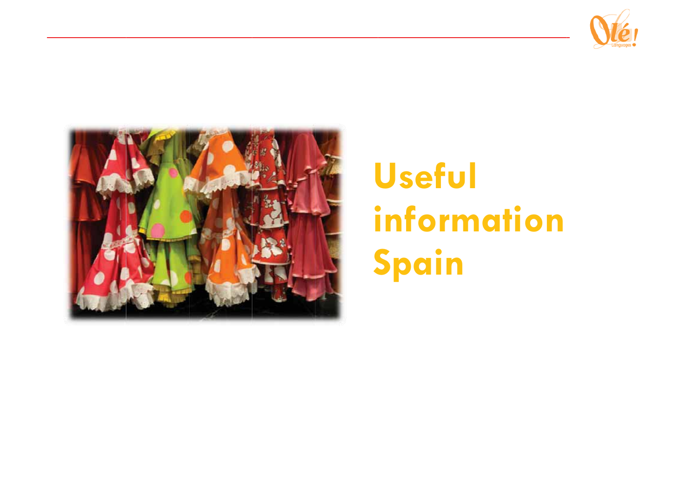



## Useful information Spain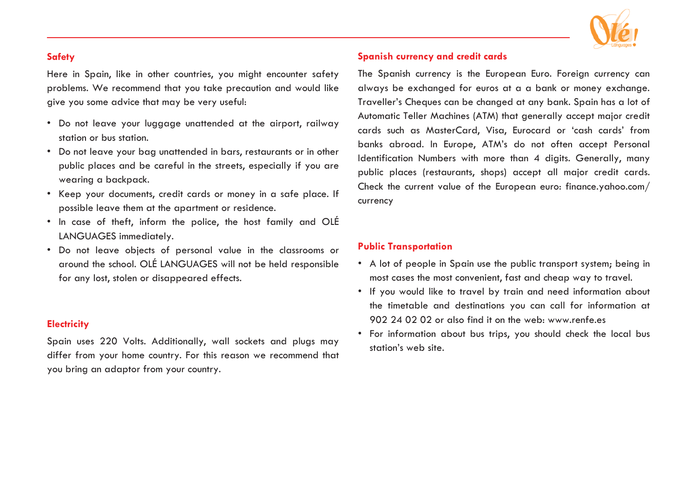

#### **Safety**

Here in Spain, like in other countries, you might encounter safety problems. We recommend that you take precaution and would like give you some advice that may be very useful:

- Do not leave your luggage unattended at the airport, railway station or bus station.
- Do not leave your bag unattended in bars, restaurants or in other public places and be careful in the streets, especially if you are wearing a backpack.
- Keep your documents, credit cards or money in a safe place. If possible leave them at the apartment or residence.
- In case of theft, inform the police, the host family and OLÉ LANGUAGES immediately.
- Do not leave objects of personal value in the classrooms or around the school. OLÉ LANGUAGES will not be held responsible for any lost, stolen or disappeared effects.

#### **Electricity**

Spain uses 220 Volts. Additionally, wall sockets and plugs may differ from your home country. For this reason we recommend that you bring an adaptor from your country.

#### **Spanish currency and credit cards**

The Spanish currency is the European Euro. Foreign currency can always be exchanged for euros at a a bank or money exchange. Traveller's Cheques can be changed at any bank. Spain has a lot of Automatic Teller Machines (ATM) that generally accept major credit cards such as MasterCard, Visa, Eurocard or 'cash cards' from banks abroad. In Europe, ATM's do not often accept Personal Identification Numbers with more than 4 digits. Generally, many public places (restaurants, shops) accept all major credit cards. Check the current value of the European euro: finance.yahoo.com/ currency

#### **Public Transportation**

- A lot of people in Spain use the public transport system; being in most cases the most convenient, fast and cheap way to travel.
- If you would like to travel by train and need information about the timetable and destinations you can call for information at 902 24 02 02 or also find it on the web: www.renfe.es
- For information about bus trips, you should check the local bus station's web site.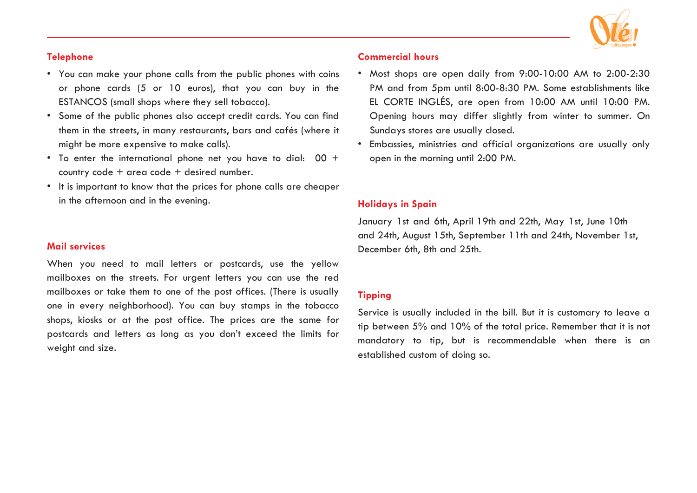

#### **Telephone**

- You can make your phone calls from the public phones with coins or phone cards (5 or 10 euros), that you can buy in the ESTANCOS (small shops where they sell tobacco).
- Some of the public phones also accept credit cards. You can find them in the streets, in many restaurants, bars and cafés (where it might be more expensive to make calls).
- $\bullet$  To enter the international phone net you have to dial:  $\,$  00  $\,$   $\,$ country code + area code + desired number.
- It is important to know that the prices for phone calls are cheaper in the afternoon and in the evening.

#### **Mail services**

When you need to mail letters or postcards, use the yellow mailboxes on the streets. For urgent letters you can use the red mailboxes or take them to one of the post offices. (There is usually one in every neighborhood). You can buy stamps in the tobacco shops, kiosks or at the post office. The prices are the same for postcards and letters as long as you don't exceed the limits for weight and size.

#### **Commercial hours**

- Most shops are open daily from 9:00-10:00 AM to 2:00-2:30 PM and from 5pm until 8:00-8:30 PM. Some establishments like EL CORTE INGLÉS, are open from 10:00 AM until 10:00 PM. Opening hours may differ slightly from winter to summer. On Sundays stores are usually closed.
- Embassies, ministries and official organizations are usually only open in the morning until 2:00 PM.

#### **Holidays in Spain**

January 1st and 6th, April 19th and 22th, May 1st, June 10th and 24th, August 15th, September 11th and 24th, November 1st, December 6th, 8th and 25th.

#### **Tipping**

Service is usually included in the bill. But it is customary to leave a tip between 5% and 10% of the total price. Remember that it is not mandatory to tip, but is recommendable when there is an established custom of doing so.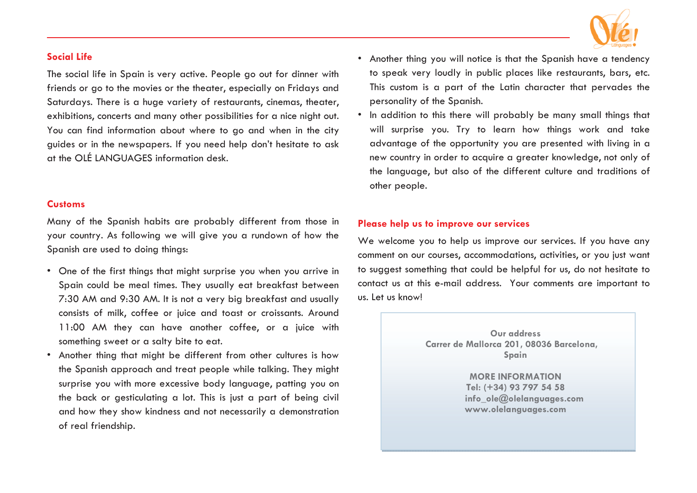

#### **Social Life**

The social life in Spain is very active. People go out for dinner with friends or go to the movies or the theater, especially on Fridays and Saturdays. There is a huge variety of restaurants, cinemas, theater, exhibitions, concerts and many other possibilities for a nice night out. You can find information about where to go and when in the city guides or in the newspapers. If you need help don't hesitate to ask at the OLÉ LANGUAGES information desk.

#### **Customs**

Many of the Spanish habits are probably different from those in your country. As following we will give you a rundown of how the Spanish are used to doing things:

- One of the first things that might surprise you when you arrive in Spain could be meal times. They usually eat breakfast between 7:30 AM and 9:30 AM. It is not a very big breakfast and usually consists of milk, coffee or juice and toast or croissants. Around 11:00 AM they can have another coffee, or a juice with something sweet or a salty bite to eat.
- Another thing that might be different from other cultures is how the Spanish approach and treat people while talking. They might surprise you with more excessive body language, patting you on the back or gesticulating a lot. This is just a part of being civil and how they show kindness and not necessarily a demonstration of real friendship.
- Another thing you will notice is that the Spanish have a tendency to speak very loudly in public places like restaurants, bars, etc. This custom is a part of the Latin character that pervades the personality of the Spanish.
- In addition to this there will probably be many small things that will surprise you. Try to learn how things work and take advantage of the opportunity you are presented with living in a new country in order to acquire a greater knowledge, not only of the language, but also of the different culture and traditions of other people.

#### **Please help us to improve our services**

We welcome you to help us improve our services. If you have any comment on our courses, accommodations, activities, or you just want to suggest something that could be helpful for us, do not hesitate to contact us at this e-mail address. Your comments are important to us. Let us know!

> **Our address Carrer de Mallorca 201, 08036 Barcelona, Spain**

> > **MORE INFORMATION Tel: (+34) 93 797 54 58 info\_ole@olelanguages.com www.olelanguages.com**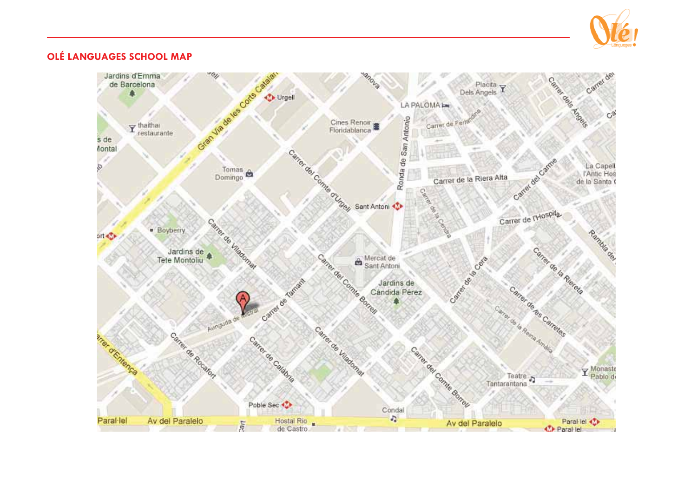

#### **OLÉ LANGUAGES SCHOOL MAP**

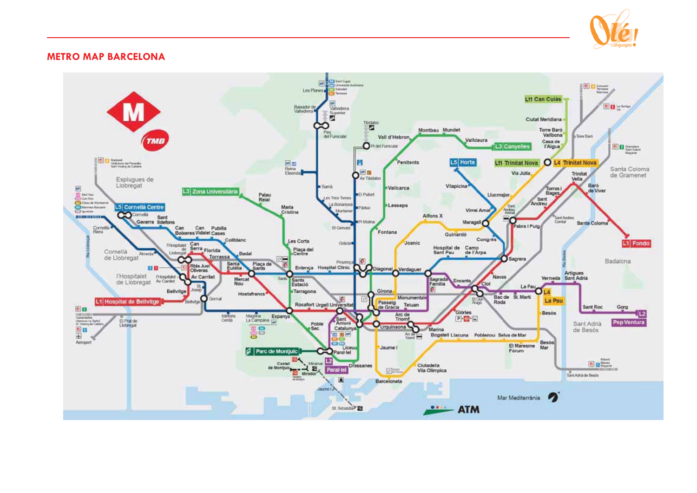

#### **METRO MAP BARCELONA**

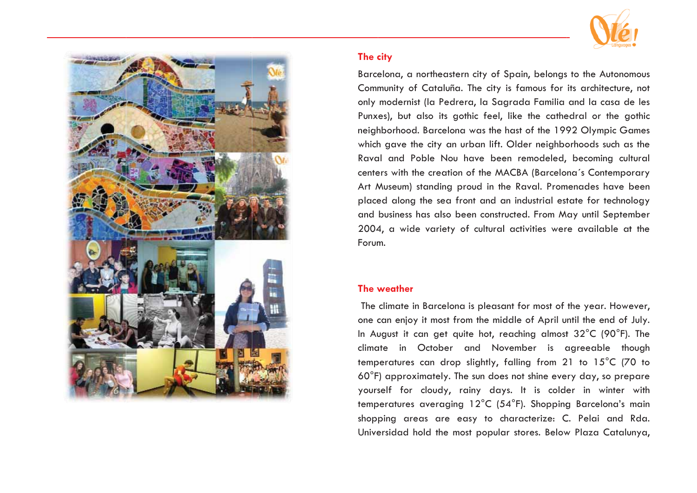

#### The city

Barcelona, a northeastern city of Spain, belonas to the Autonomous Community of Cataluña. The city is famous for its architecture, not only modernist (la Pedrera, la Sagrada Familia and la casa de les Punxes), but also its gothic feel, like the cathedral or the gothic neighborhood. Barcelona was the hast of the 1992 Olympic Games which gave the city an urban lift. Older neighborhoods such as the Raval and Poble Nou have been remodeled, becoming cultural centers with the creation of the MACBA (Barcelona's Contemporary Art Museum) standing proud in the Raval. Promenades have been placed along the sea front and an industrial estate for technology and business has also been constructed. From May until September 2004, a wide variety of cultural activities were available at the Forum.

#### The weather

The climate in Barcelona is pleasant for most of the year. However, one can enjoy it most from the middle of April until the end of July. In August it can get quite hot, reaching almost 32°C (90°F). The climate in October and November is agreeable though temperatures can drop slightly, falling from 21 to 15°C (70 to 60°F) approximately. The sun does not shine every day, so prepare yourself for cloudy, rainy days. It is colder in winter with temperatures averaging 12°C (54°F). Shopping Barcelona's main shopping areas are easy to characterize: C. Pelai and Rda. Universidad hold the most popular stores. Below Plaza Catalunya,

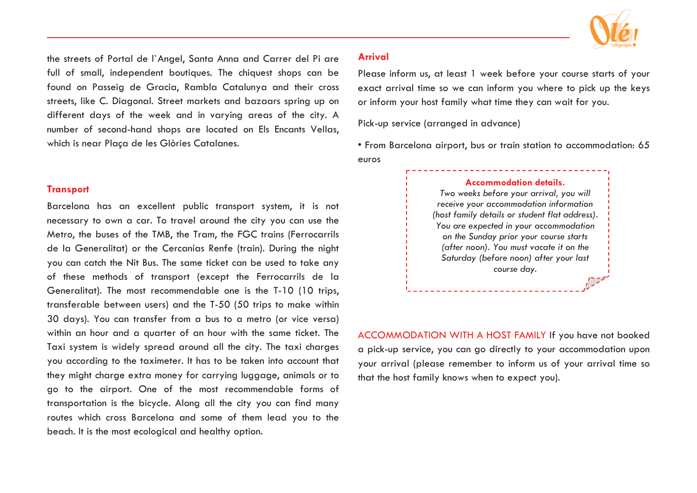

the streets of Portal de l`Angel, Santa Anna and Carrer del Pi are full of small, independent boutiques. The chiquest shops can be found on Passeig de Gracia, Rambla Catalunya and their cross streets, like C. Diagonal. Street markets and bazaars spring up on different days of the week and in varying areas of the city. A number of second-hand shops are located on Els Encants Vellas, which is near Plaça de les Glòries Catalanes.

#### **Transport**

Barcelona has an excellent public transport system, it is not necessary to own a car. To travel around the city you can use the Metro, the buses of the TMB, the Tram, the FGC trains (Ferrocarrils de la Generalitat) or the Cercanías Renfe (train). During the night you can catch the Nit Bus. The same ticket can be used to take any of these methods of transport (except the Ferrocarrils de la Generalitat). The most recommendable one is the T-10 (10 trips, transferable between users) and the T-50 (50 trips to make within 30 days). You can transfer from a bus to a metro (or vice versa) within an hour and a quarter of an hour with the same ticket. The Taxi system is widely spread around all the city. The taxi charges you according to the taximeter. It has to be taken into account that they might charge extra money for carrying luggage, animals or to go to the airport. One of the most recommendable forms of transportation is the bicycle. Along all the city you can find many routes which cross Barcelona and some of them lead you to the beach. It is the most ecological and healthy option.

#### **Arrival**

Please inform us, at least 1 week before your course starts of your exact arrival time so we can inform you where to pick up the keys or inform your host family what time they can wait for you.

Pick-up service (arranged in advance)

• From Barcelona airport, bus or train station to accommodation: 65 euros

#### **Accommodation details.**

*Two weeks before your arrival, you will receive your accommodation information (host family details or student flat address). You are expected in your accommodation on the Sunday prior your course starts (after noon). You must vacate it on the Saturday (before noon) after your last course day.*

ACCOMMODATION WITH A HOST FAMILY If you have not booked a pick-up service, you can go directly to your accommodation upon your arrival (please remember to inform us of your arrival time so that the host family knows when to expect you).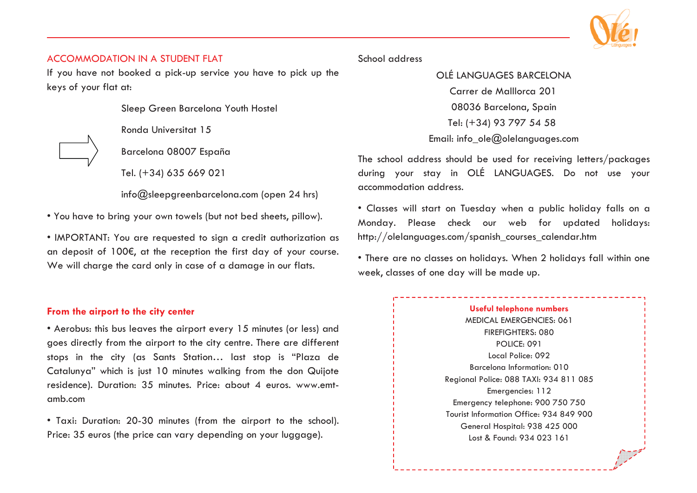

#### ACCOMMODATION IN A STUDENT FLAT

If you have not booked a pick-up service you have to pick up the keys of your flat at:

Sleep Green Barcelona Youth Hostel

Ronda Universitat 15

Barcelona 08007 España

Tel. (+34) 635 669 021

info@sleepgreenbarcelona.com (open 24 hrs)

• You have to bring your own towels (but not bed sheets, pillow).

• IMPORTANT: You are requested to sign a credit authorization as an deposit of 100€, at the reception the first day of your course. We will charge the card only in case of a damage in our flats.

#### **From the airport to the city center**

• Aerobus: this bus leaves the airport every 15 minutes (or less) and goes directly from the airport to the city centre. There are different stops in the city (as Sants Station… last stop is "Plaza de Catalunya" which is just 10 minutes walking from the don Quijote residence). Duration: 35 minutes. Price: about 4 euros. www.emtamb.com

• Taxi: Duration: 20-30 minutes (from the airport to the school). Price: 35 euros (the price can vary depending on your luggage).

#### School address

OLÉ LANGUAGES BARCELONA Carrer de Malllorca 201 08036 Barcelona, Spain Tel: (+34) 93 797 54 58 Email: info\_ole@olelanguages.com

The school address should be used for receiving letters/packages during your stay in OLÉ LANGUAGES. Do not use your accommodation address.

• Classes will start on Tuesday when a public holiday falls on a Monday. Please check our web for updated holidays: http://olelanguages.com/spanish\_courses\_calendar.htm

• There are no classes on holidays. When 2 holidays fall within one week, classes of one day will be made up.

#### **Useful telephone numbers** MEDICAL EMERGENCIES: 061 FIREFIGHTERS: 080 POLICE: 091 Local Police: 092 Barcelona Information: 010 Regional Police: 088 TAXI: 934 811 085 Emergencies: 112 Emergency telephone: 900 750 750 Tourist Information Office: 934 849 900 General Hospital: 938 425 000 Lost & Found: 934 023 161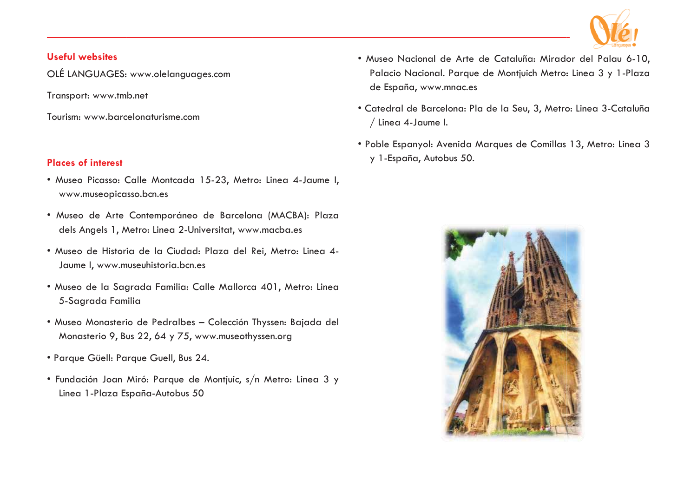

#### **Useful websites**

OLÉ LANGUAGES: www.olelanguages.com

Transport: www.tmb.net

Tourism: www.barcelonaturisme.com

#### **Places of interest**

- · Museo Picasso: Calle Montcada 15-23, Metro: Linea 4-Jaume I, www.museopicasso.bcn.es
- · Museo de Arte Contemporáneo de Barcelona (MACBA): Plaza dels Angels 1, Metro: Linea 2-Universitat, www.macba.es
- · Museo de Historia de la Ciudad: Plaza del Rei, Metro: Linea 4-Jaume I, www.museuhistoria.bcn.es
- · Museo de la Sagrada Familia: Calle Mallorca 401, Metro: Linea 5-Sagrada Familia
- · Museo Monasterio de Pedralbes Colección Thyssen: Bajada del Monasterio 9, Bus 22, 64 y 75, www.museothyssen.org
- Parque Güell: Parque Guell, Bus 24.
- · Fundación Joan Miró: Parque de Montjuic, s/n Metro: Linea 3 y Linea 1-Plaza España-Autobus 50
- · Museo Nacional de Arte de Cataluña: Mirador del Palau 6-10, Palacio Nacional. Parque de Montjuich Metro: Linea 3 y 1-Plaza de España, www.mnac.es
- · Catedral de Barcelona: Pla de la Seu, 3, Metro: Linea 3-Cataluña / Linea 4-Jaume I.
- Poble Espanyol: Avenida Marques de Comillas 13, Metro: Linea 3 y 1-España, Autobus 50.

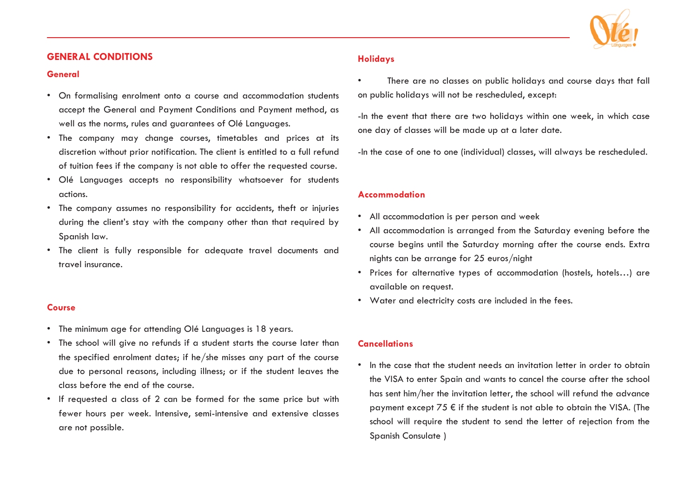#### **GENERAL CONDITIONS**

#### **General**

- On formalising enrolment onto a course and accommodation students accept the General and Payment Conditions and Payment method, as well as the norms, rules and guarantees of Olé Languages.
- The company may change courses, timetables and prices at its discretion without prior notification. The client is entitled to a full refund of tuition fees if the company is not able to offer the requested course.
- Olé Languages accepts no responsibility whatsoever for students actions.
- The company assumes no responsibility for accidents, theft or injuries during the client's stay with the company other than that required by Spanish law.
- The client is fully responsible for adequate travel documents and travel insurance.

#### **Course**

- The minimum age for attending Olé Languages is 18 years.
- The school will give no refunds if a student starts the course later than the specified enrolment dates; if he/she misses any part of the course due to personal reasons, including illness; or if the student leaves the class before the end of the course.
- If requested a class of 2 can be formed for the same price but with fewer hours per week. Intensive, semi-intensive and extensive classes are not possible.

#### **Holidays**

• There are no classes on public holidays and course days that fall on public holidays will not be rescheduled, except:

-In the event that there are two holidays within one week, in which case one day of classes will be made up at a later date.

-In the case of one to one (individual) classes, will always be rescheduled.

#### **Accommodation**

- All accommodation is per person and week
- All accommodation is arranged from the Saturday evening before the course begins until the Saturday morning after the course ends. Extra nights can be arrange for 25 euros/night
- Prices for alternative types of accommodation (hostels, hotels…) are available on request.
- Water and electricity costs are included in the fees.

#### **Cancellations**

• In the case that the student needs an invitation letter in order to obtain the VISA to enter Spain and wants to cancel the course after the school has sent him/her the invitation letter, the school will refund the advance payment except  $75 \notin$  if the student is not able to obtain the VISA. (The school will require the student to send the letter of rejection from the Spanish Consulate )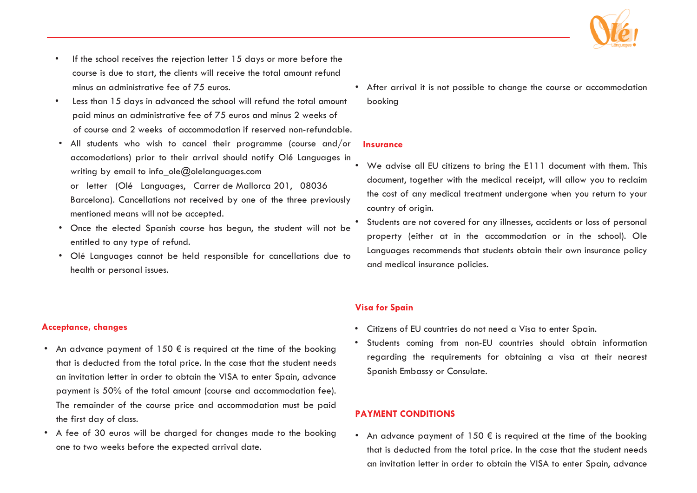

- If the school receives the rejection letter 15 days or more before the course is due to start, the clients will receive the total amount refund minus an administrative fee of 75 euros.
- Less than 15 days in advanced the school will refund the total amount paid minus an administrative fee of 75 euros and minus 2 weeks of of course and 2 weeks of accommodation if reserved non-refundable.
- All students who wish to cancel their programme (course and/or accomodations) prior to their arrival should notify Olé Languages in writing by email to info  $ole@$ olelanguages.com or letter (Olé Languages, Carrer de Mallorca 201, 08036 Barcelona). Cancellations not received by one of the three previously mentioned means will not be accepted.
- Once the elected Spanish course has begun, the student will not be entitled to any type of refund.
- Olé Languages cannot be held responsible for cancellations due to health or personal issues.

• After arrival it is not possible to change the course or accommodation booking

#### **Insurance**

- • We advise all EU citizens to bring the E111 document with them. This document, together with the medical receipt, will allow you to reclaim the cost of any medical treatment undergone when you return to your country of origin.
- • Students are not covered for any illnesses, accidents or loss of personal property (either at in the accommodation or in the school). Ole Languages recommends that students obtain their own insurance policy and medical insurance policies.

#### **Visa for Spain**

- Citizens of EU countries do not need a Visa to enter Spain.
- Students coming from non-EU countries should obtain information regarding the requirements for obtaining a visa at their nearest Spanish Embassy or Consulate.

#### **PAYMENT CONDITIONS**

• An advance payment of 150  $\bm{\epsilon}$  is required at the time of the booking that is deducted from the total price. In the case that the student needs an invitation letter in order to obtain the VISA to enter Spain, advance

#### **Acceptance, changes**

- An advance payment of 150  $\epsilon$  is required at the time of the booking that is deducted from the total price. In the case that the student needs an invitation letter in order to obtain the VISA to enter Spain, advance payment is 50% of the total amount (course and accommodation fee). The remainder of the course price and accommodation must be paid the first day of class.
- A fee of 30 euros will be charged for changes made to the booking one to two weeks before the expected arrival date.